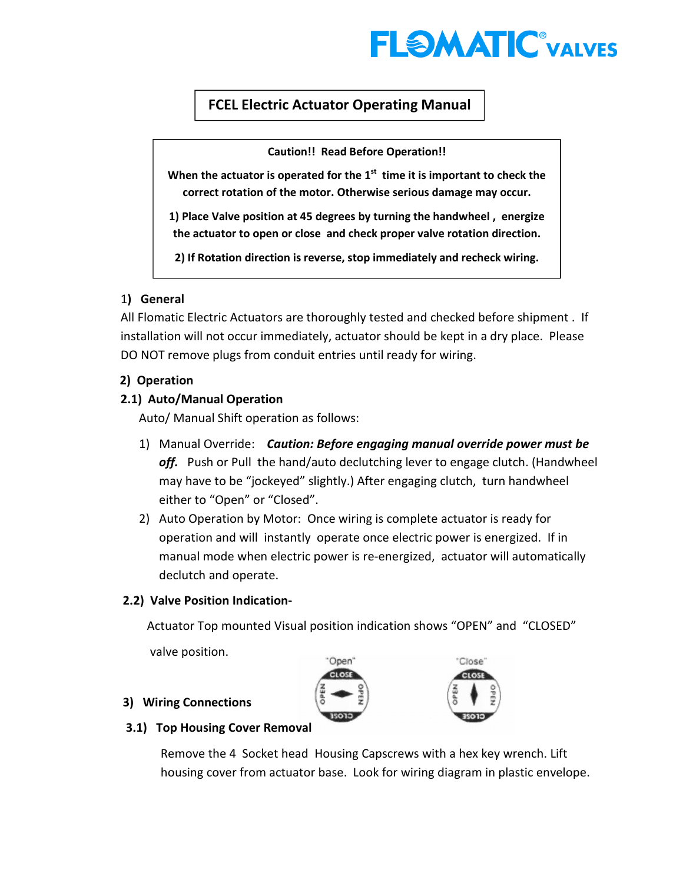

# $\overline{a}$  $\overline{1}$ FCEL Electric Actuator Operating Manual

Caution!! Read Before Operation!!

When the actuator is operated for the  $1<sup>st</sup>$  time it is important to check the correct rotation of the motor. Otherwise serious damage may occur.

1) Place Valve position at 45 degrees by turning the handwheel , energize the actuator to open or close and check proper valve rotation direction.

2) If Rotation direction is reverse, stop immediately and recheck wiring.

# 1) General

All Flomatic Electric Actuators are thoroughly tested and checked before shipment . If installation will not occur immediately, actuator should be kept in a dry place. Please DO NOT remove plugs from conduit entries until ready for wiring.

# 2) Operation

## 2.1) Auto/Manual Operation

Auto/ Manual Shift operation as follows:

- 1) Manual Override: Caution: Before engaging manual override power must be off. Push or Pull the hand/auto declutching lever to engage clutch. (Handwheel may have to be "jockeyed" slightly.) After engaging clutch, turn handwheel either to "Open" or "Closed".
- 2) Auto Operation by Motor: Once wiring is complete actuator is ready for operation and will instantly operate once electric power is energized. If in manual mode when electric power is re-energized, actuator will automatically declutch and operate.

# 2.2) Valve Position Indication-

Actuator Top mounted Visual position indication shows "OPEN" and "CLOSED"

valve position.





## 3) Wiring Connections

#### 3.1) Top Housing Cover Removal

Remove the 4 Socket head Housing Capscrews with a hex key wrench. Lift housing cover from actuator base. Look for wiring diagram in plastic envelope.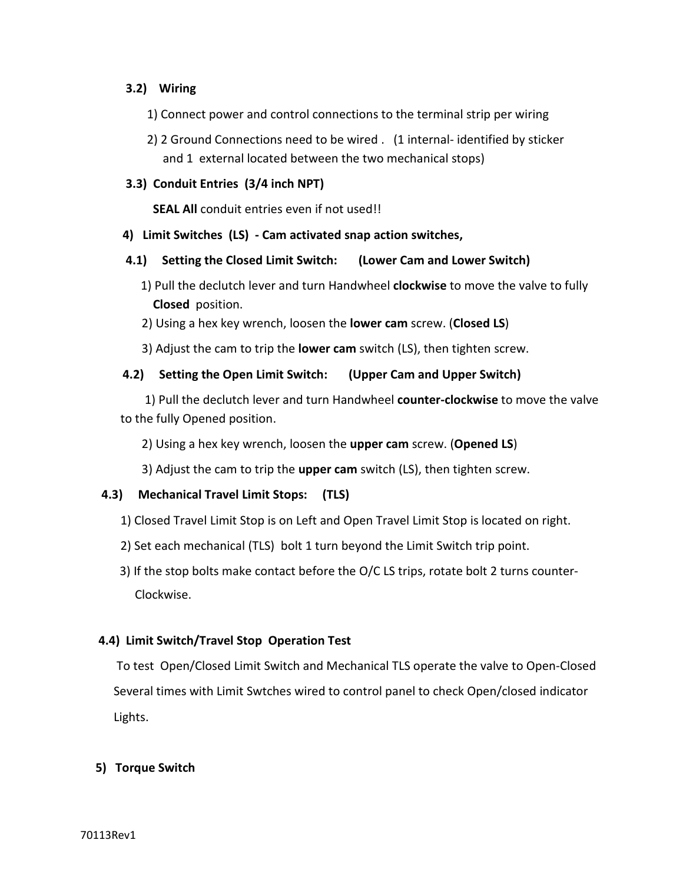## 3.2) Wiring

- 1) Connect power and control connections to the terminal strip per wiring
- 2) 2 Ground Connections need to be wired . (1 internal- identified by sticker and 1 external located between the two mechanical stops)

## 3.3) Conduit Entries (3/4 inch NPT)

SEAL All conduit entries even if not used!!

#### 4) Limit Switches (LS) - Cam activated snap action switches,

#### 4.1) Setting the Closed Limit Switch: (Lower Cam and Lower Switch)

- 1) Pull the declutch lever and turn Handwheel **clockwise** to move the valve to fully Closed position.
- 2) Using a hex key wrench, loosen the lower cam screw. (Closed LS)
- 3) Adjust the cam to trip the lower cam switch (LS), then tighten screw.

# 4.2) Setting the Open Limit Switch: (Upper Cam and Upper Switch)

 1) Pull the declutch lever and turn Handwheel counter-clockwise to move the valve to the fully Opened position.

- 2) Using a hex key wrench, loosen the upper cam screw. (Opened LS)
- 3) Adjust the cam to trip the **upper cam** switch (LS), then tighten screw.

#### 4.3) Mechanical Travel Limit Stops: (TLS)

- 1) Closed Travel Limit Stop is on Left and Open Travel Limit Stop is located on right.
- 2) Set each mechanical (TLS) bolt 1 turn beyond the Limit Switch trip point.
- 3) If the stop bolts make contact before the O/C LS trips, rotate bolt 2 turns counter- Clockwise.

# 4.4) Limit Switch/Travel Stop Operation Test

 To test Open/Closed Limit Switch and Mechanical TLS operate the valve to Open-Closed Several times with Limit Swtches wired to control panel to check Open/closed indicator Lights.

# 5) Torque Switch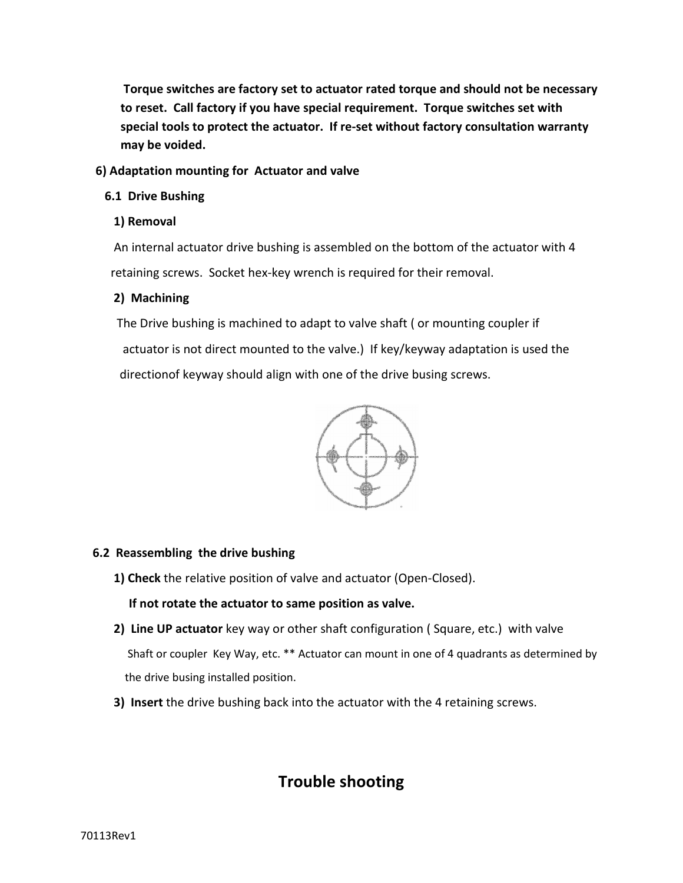Torque switches are factory set to actuator rated torque and should not be necessary to reset. Call factory if you have special requirement. Torque switches set with special tools to protect the actuator. If re-set without factory consultation warranty may be voided.

## 6) Adaptation mounting for Actuator and valve

## 6.1 Drive Bushing

## 1) Removal

 An internal actuator drive bushing is assembled on the bottom of the actuator with 4 retaining screws. Socket hex-key wrench is required for their removal.

# 2) Machining

 The Drive bushing is machined to adapt to valve shaft ( or mounting coupler if actuator is not direct mounted to the valve.) If key/keyway adaptation is used the directionof keyway should align with one of the drive busing screws.



#### 6.2 Reassembling the drive bushing

1) Check the relative position of valve and actuator (Open-Closed).

# If not rotate the actuator to same position as valve.

- 2) Line UP actuator key way or other shaft configuration (Square, etc.) with valve Shaft or coupler Key Way, etc. \*\* Actuator can mount in one of 4 quadrants as determined by the drive busing installed position.
- 3) Insert the drive bushing back into the actuator with the 4 retaining screws.

# Trouble shooting